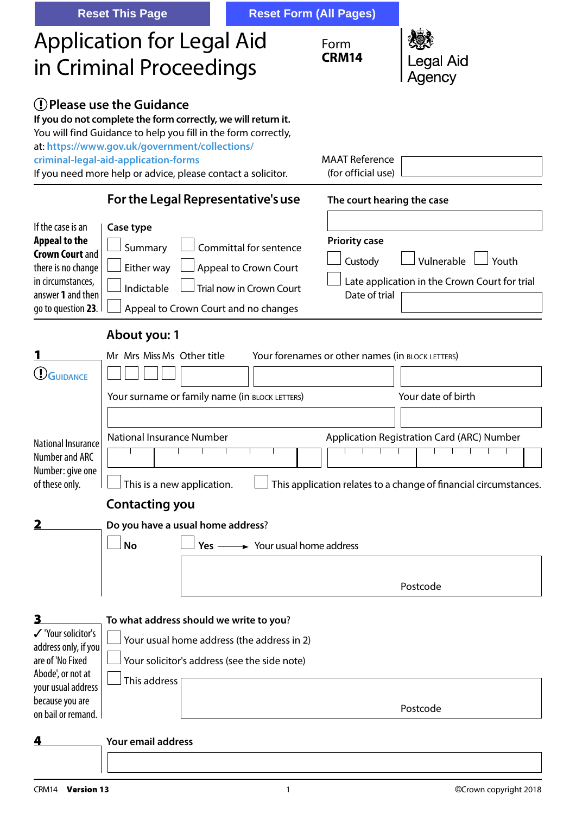|                                                                                                                                                           | <b>Reset This Page</b>                                                                                                                                                                                                                                   |  |                                                                                                                     | <b>Reset Form (All Pages)</b>                    |                                                                                                                |
|-----------------------------------------------------------------------------------------------------------------------------------------------------------|----------------------------------------------------------------------------------------------------------------------------------------------------------------------------------------------------------------------------------------------------------|--|---------------------------------------------------------------------------------------------------------------------|--------------------------------------------------|----------------------------------------------------------------------------------------------------------------|
|                                                                                                                                                           | <b>Application for Legal Aid</b><br>in Criminal Proceedings                                                                                                                                                                                              |  |                                                                                                                     | Form<br><b>CRM14</b>                             | <b>Legal Aid</b><br>Agency                                                                                     |
|                                                                                                                                                           | (!) Please use the Guidance<br>If you do not complete the form correctly, we will return it.<br>You will find Guidance to help you fill in the form correctly,<br>at: https://www.gov.uk/government/collections/<br>criminal-legal-aid-application-forms |  |                                                                                                                     | <b>MAAT Reference</b>                            |                                                                                                                |
|                                                                                                                                                           | If you need more help or advice, please contact a solicitor.<br>For the Legal Representative's use                                                                                                                                                       |  |                                                                                                                     | (for official use)<br>The court hearing the case |                                                                                                                |
| If the case is an<br><b>Appeal to the</b><br><b>Crown Court and</b><br>there is no change<br>in circumstances,<br>answer 1 and then<br>go to question 23. | Case type<br>Summary<br>Either way<br>Indictable                                                                                                                                                                                                         |  | Committal for sentence<br>Appeal to Crown Court<br>Trial now in Crown Court<br>Appeal to Crown Court and no changes | <b>Priority case</b><br>Custody<br>Date of trial | Vulnerable<br>Youth<br>Late application in the Crown Court for trial                                           |
| About you: 1                                                                                                                                              |                                                                                                                                                                                                                                                          |  |                                                                                                                     |                                                  |                                                                                                                |
| DGUIDANCE                                                                                                                                                 | Mr Mrs Miss Ms Other title<br>Your surname or family name (in BLOCK LETTERS)                                                                                                                                                                             |  |                                                                                                                     | Your forenames or other names (in BLOCK LETTERS) | Your date of birth                                                                                             |
| National Insurance<br>Number and ARC<br>Number: give one<br>of these only.                                                                                | National Insurance Number<br>This is a new application.                                                                                                                                                                                                  |  |                                                                                                                     |                                                  | Application Registration Card (ARC) Number<br>This application relates to a change of financial circumstances. |
|                                                                                                                                                           | <b>Contacting you</b>                                                                                                                                                                                                                                    |  |                                                                                                                     |                                                  |                                                                                                                |
|                                                                                                                                                           | Do you have a usual home address?<br><b>No</b>                                                                                                                                                                                                           |  | Yes $\longrightarrow$ Your usual home address                                                                       |                                                  |                                                                                                                |
|                                                                                                                                                           |                                                                                                                                                                                                                                                          |  |                                                                                                                     |                                                  | Postcode                                                                                                       |
| 3<br>√ 'Your solicitor's<br>address only, if you<br>are of 'No Fixed<br>Abode', or not at<br>your usual address                                           | To what address should we write to you?<br>This address                                                                                                                                                                                                  |  | Your usual home address (the address in 2)<br>Your solicitor's address (see the side note)                          |                                                  |                                                                                                                |
| because you are<br>on bail or remand.                                                                                                                     |                                                                                                                                                                                                                                                          |  |                                                                                                                     |                                                  | Postcode                                                                                                       |
|                                                                                                                                                           | Your email address                                                                                                                                                                                                                                       |  |                                                                                                                     |                                                  |                                                                                                                |
|                                                                                                                                                           |                                                                                                                                                                                                                                                          |  |                                                                                                                     |                                                  |                                                                                                                |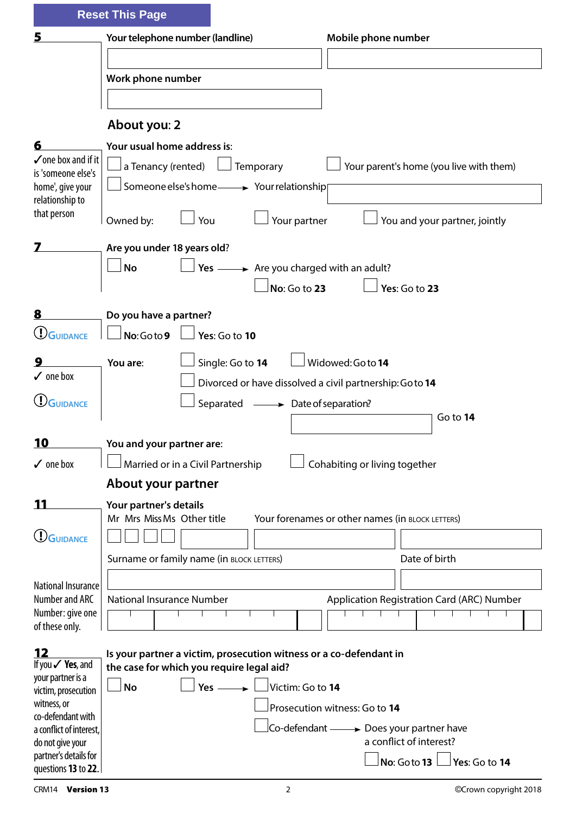|                                                   | <b>Reset This Page</b>                                                                                          |  |  |  |
|---------------------------------------------------|-----------------------------------------------------------------------------------------------------------------|--|--|--|
| 5                                                 | Your telephone number (landline)<br>Mobile phone number                                                         |  |  |  |
|                                                   |                                                                                                                 |  |  |  |
|                                                   | Work phone number                                                                                               |  |  |  |
|                                                   |                                                                                                                 |  |  |  |
|                                                   | About you: 2                                                                                                    |  |  |  |
| 6                                                 | Your usual home address is:                                                                                     |  |  |  |
| $\sqrt{}$ one box and if it<br>is 'someone else's | Temporary<br>Your parent's home (you live with them)<br>a Tenancy (rented)                                      |  |  |  |
| home', give your                                  | Someone else's home - > Your relationship                                                                       |  |  |  |
| relationship to<br>that person                    |                                                                                                                 |  |  |  |
|                                                   | Your partner<br>Owned by:<br>You and your partner, jointly<br>You                                               |  |  |  |
|                                                   | Are you under 18 years old?                                                                                     |  |  |  |
|                                                   | <b>No</b><br>Yes $\longrightarrow$ Are you charged with an adult?                                               |  |  |  |
|                                                   | No: Go to 23<br>Yes: Go to 23                                                                                   |  |  |  |
| 8                                                 | Do you have a partner?                                                                                          |  |  |  |
| <b>UGUIDANCE</b>                                  | No: Go to 9<br>Yes: Go to 10                                                                                    |  |  |  |
| 9                                                 | Widowed: Goto 14<br>Single: Go to 14<br>You are:                                                                |  |  |  |
| $\checkmark$ one box                              | Divorced or have dissolved a civil partnership: Go to 14                                                        |  |  |  |
| JGUIDANCE                                         | Separated - Date of separation?                                                                                 |  |  |  |
|                                                   | Go to $14$                                                                                                      |  |  |  |
| <b>10</b>                                         | You and your partner are:                                                                                       |  |  |  |
| $\checkmark$ one box                              | Cohabiting or living together<br>Married or in a Civil Partnership                                              |  |  |  |
|                                                   | About your partner                                                                                              |  |  |  |
| <u> 11</u>                                        | Your partner's details<br>Mr Mrs Miss Ms Other title<br>Your forenames or other names (in BLOCK LETTERS)        |  |  |  |
| <b>U</b> GUIDANCE                                 |                                                                                                                 |  |  |  |
|                                                   | Surname or family name (in BLOCK LETTERS)<br>Date of birth                                                      |  |  |  |
| National Insurance                                |                                                                                                                 |  |  |  |
| Number and ARC                                    | National Insurance Number<br>Application Registration Card (ARC) Number                                         |  |  |  |
| Number: give one<br>of these only.                |                                                                                                                 |  |  |  |
|                                                   |                                                                                                                 |  |  |  |
| 12<br>If you $\checkmark$ Yes, and                | Is your partner a victim, prosecution witness or a co-defendant in<br>the case for which you require legal aid? |  |  |  |
| your partner is a<br>victim, prosecution          | Yes $-\$<br>Victim: Go to 14<br><b>No</b>                                                                       |  |  |  |
| witness, or                                       | Prosecution witness: Go to 14                                                                                   |  |  |  |
| co-defendant with<br>a conflict of interest,      | Co-defendant — → Does your partner have                                                                         |  |  |  |
| do not give your<br>partner's details for         | a conflict of interest?                                                                                         |  |  |  |
| questions 13 to 22.                               | No: Go to 13<br>$\vert$ Yes: Go to 14                                                                           |  |  |  |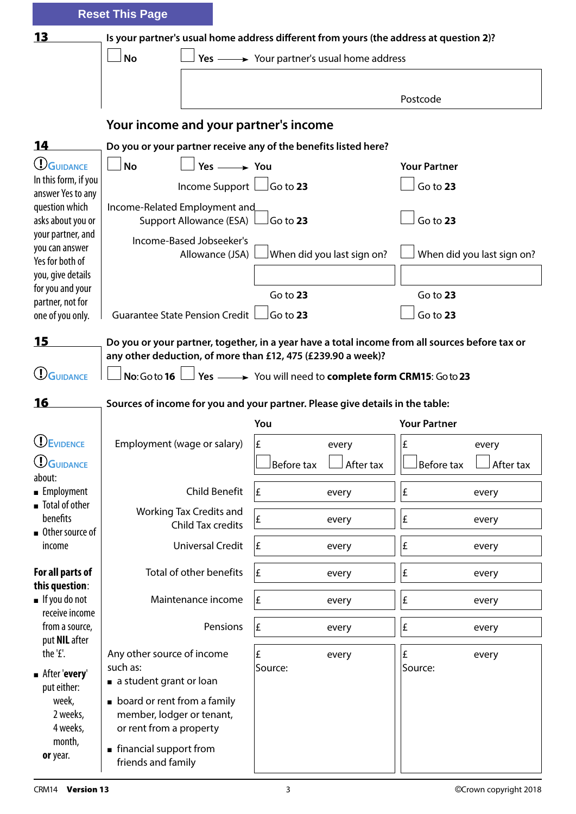|                                                        | <b>Reset This Page</b>                                                                                                                                        |                                                      |                                |
|--------------------------------------------------------|---------------------------------------------------------------------------------------------------------------------------------------------------------------|------------------------------------------------------|--------------------------------|
| <b>13</b>                                              | Is your partner's usual home address different from yours (the address at question 2)?                                                                        |                                                      |                                |
|                                                        | <b>No</b>                                                                                                                                                     |                                                      |                                |
|                                                        |                                                                                                                                                               |                                                      | Postcode                       |
|                                                        |                                                                                                                                                               |                                                      |                                |
|                                                        | Your income and your partner's income                                                                                                                         |                                                      |                                |
| 14                                                     | Do you or your partner receive any of the benefits listed here?                                                                                               |                                                      |                                |
| <b>U</b> GUIDANCE<br>In this form, if you              | <b>No</b><br>Yes $\longrightarrow$ You                                                                                                                        |                                                      | <b>Your Partner</b>            |
| answer Yes to any                                      | Income Support $\Box$ Go to 23                                                                                                                                |                                                      | Go to 23                       |
| question which<br>asks about you or                    | Income-Related Employment and<br>Support Allowance (ESA)                                                                                                      | Go to 23                                             | Go to 23                       |
| your partner, and<br>you can answer<br>Yes for both of | Income-Based Jobseeker's<br>Allowance (JSA)                                                                                                                   | When did you last sign on?                           | When did you last sign on?     |
| you, give details                                      |                                                                                                                                                               |                                                      |                                |
| for you and your<br>partner, not for                   |                                                                                                                                                               | Go to 23                                             | Go to 23                       |
| one of you only.                                       | Guarantee State Pension Credit                                                                                                                                | Go to 23                                             | Go to 23                       |
| J <sub>GUIDANCE</sub><br><u>16</u>                     | any other deduction, of more than £12, 475 (£239.90 a week)?<br>No: Go to 16<br>Sources of income for you and your partner. Please give details in the table: | Yes - You will need to complete form CRM15: Go to 23 |                                |
|                                                        |                                                                                                                                                               | You                                                  | <b>Your Partner</b>            |
| <b>U</b> EVIDENCE                                      | Employment (wage or salary)                                                                                                                                   | £<br>every                                           | £<br>every                     |
| <b>UGUIDANCE</b><br>about:                             |                                                                                                                                                               | After tax<br>Before tax                              | <b>Before tax</b><br>After tax |
| ■ Employment                                           | <b>Child Benefit</b>                                                                                                                                          | £<br>every                                           | £<br>every                     |
| ■ Total of other<br>benefits<br>■ Other source of      | <b>Working Tax Credits and</b><br>Child Tax credits                                                                                                           | £<br>every                                           | £<br>every                     |
| income                                                 | <b>Universal Credit</b>                                                                                                                                       | £<br>every                                           | £<br>every                     |
| For all parts of<br>this question:                     | Total of other benefits                                                                                                                                       | £<br>every                                           | £<br>every                     |
| $\blacksquare$ If you do not<br>receive income         | Maintenance income                                                                                                                                            | £<br>every                                           | £<br>every                     |
| from a source,<br>put NIL after                        | Pensions                                                                                                                                                      | £<br>every                                           | £<br>every                     |
| the '£'.<br>After 'every'<br>put either:               | Any other source of income<br>such as:<br>a student grant or loan                                                                                             | £<br>every<br>Source:                                | £<br>every<br>Source:          |
| week,<br>2 weeks,<br>4 weeks,<br>month,                | board or rent from a family<br>member, lodger or tenant,<br>or rent from a property                                                                           |                                                      |                                |
| or year.                                               | ■ financial support from<br>friends and family                                                                                                                |                                                      |                                |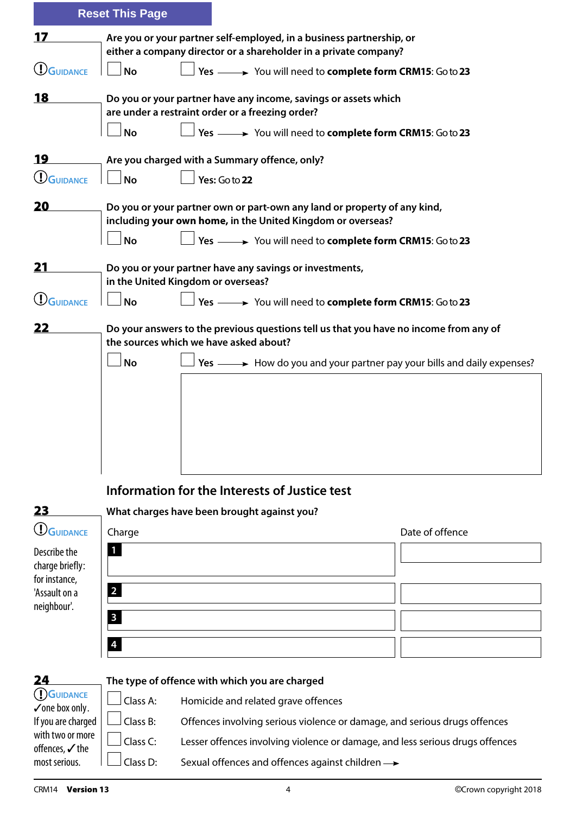|                                        | <b>Reset This Page</b>  |                                                                                                                                                                                                                         |  |  |  |
|----------------------------------------|-------------------------|-------------------------------------------------------------------------------------------------------------------------------------------------------------------------------------------------------------------------|--|--|--|
| 17                                     |                         | Are you or your partner self-employed, in a business partnership, or<br>either a company director or a shareholder in a private company?                                                                                |  |  |  |
| <b>OGUIDANCE</b>                       | <b>No</b>               | Yes - You will need to complete form CRM15: Go to 23                                                                                                                                                                    |  |  |  |
| <u>18</u>                              |                         | Do you or your partner have any income, savings or assets which<br>are under a restraint order or a freezing order?                                                                                                     |  |  |  |
|                                        | <b>No</b>               | Yes - You will need to complete form CRM15: Go to 23                                                                                                                                                                    |  |  |  |
| <u> 19</u>                             |                         | Are you charged with a Summary offence, only?                                                                                                                                                                           |  |  |  |
| (UGUIDANCE                             | <b>No</b>               | Yes: Go to 22                                                                                                                                                                                                           |  |  |  |
| 20                                     |                         | Do you or your partner own or part-own any land or property of any kind,<br>including your own home, in the United Kingdom or overseas?                                                                                 |  |  |  |
|                                        | <b>No</b>               | Yes - You will need to complete form CRM15: Go to 23                                                                                                                                                                    |  |  |  |
| 21                                     |                         | Do you or your partner have any savings or investments,<br>in the United Kingdom or overseas?                                                                                                                           |  |  |  |
| (UGUIDANCE                             | <b>No</b>               | Yes - You will need to complete form CRM15: Go to 23                                                                                                                                                                    |  |  |  |
| 22                                     | <b>No</b>               | Do your answers to the previous questions tell us that you have no income from any of<br>the sources which we have asked about?<br>Yes $\longrightarrow$ How do you and your partner pay your bills and daily expenses? |  |  |  |
|                                        |                         | Information for the Interests of Justice test                                                                                                                                                                           |  |  |  |
| 23                                     |                         | What charges have been brought against you?                                                                                                                                                                             |  |  |  |
| (DGUIDANCE                             | Charge                  | Date of offence                                                                                                                                                                                                         |  |  |  |
| Describe the<br>charge briefly:        | $\mathbf 1$             |                                                                                                                                                                                                                         |  |  |  |
| for instance,<br>'Assault on a         | $\overline{2}$          |                                                                                                                                                                                                                         |  |  |  |
| neighbour'.                            | $\mathbf{3}$            |                                                                                                                                                                                                                         |  |  |  |
|                                        | $\overline{\mathbf{4}}$ |                                                                                                                                                                                                                         |  |  |  |
|                                        |                         |                                                                                                                                                                                                                         |  |  |  |
| 24<br>(!) GUIDANCE                     |                         | The type of offence with which you are charged                                                                                                                                                                          |  |  |  |
| $\sqrt{\ }$ one box only.              | Class A:                | Homicide and related grave offences                                                                                                                                                                                     |  |  |  |
| If you are charged<br>with two or more | Class B:<br>Class C:    | Offences involving serious violence or damage, and serious drugs offences                                                                                                                                               |  |  |  |
| offences, √ the<br>most serious.       | Class D:                | Lesser offences involving violence or damage, and less serious drugs offences<br>Sexual offences and offences against children $\rightarrow$                                                                            |  |  |  |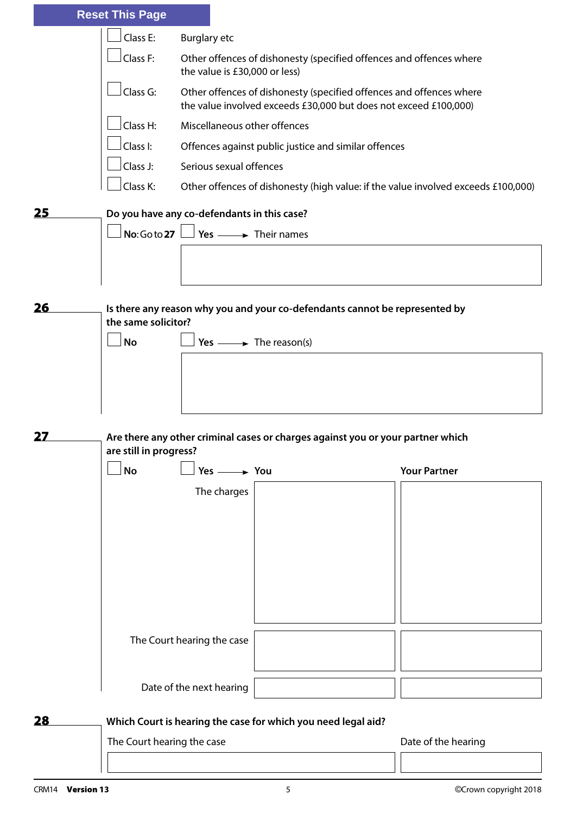|           | <b>Reset This Page</b>     |                                                                                                                                         |                                                                                 |  |                                                                                   |
|-----------|----------------------------|-----------------------------------------------------------------------------------------------------------------------------------------|---------------------------------------------------------------------------------|--|-----------------------------------------------------------------------------------|
|           | Class E:                   | <b>Burglary etc</b>                                                                                                                     |                                                                                 |  |                                                                                   |
|           | Class F:                   | the value is £30,000 or less)                                                                                                           | Other offences of dishonesty (specified offences and offences where             |  |                                                                                   |
|           | Class G:                   | Other offences of dishonesty (specified offences and offences where<br>the value involved exceeds £30,000 but does not exceed £100,000) |                                                                                 |  |                                                                                   |
|           | Class H:                   | Miscellaneous other offences                                                                                                            |                                                                                 |  |                                                                                   |
|           | Class I:                   | Offences against public justice and similar offences                                                                                    |                                                                                 |  |                                                                                   |
|           | Class J:                   | Serious sexual offences                                                                                                                 |                                                                                 |  |                                                                                   |
|           | Class K:                   |                                                                                                                                         |                                                                                 |  | Other offences of dishonesty (high value: if the value involved exceeds £100,000) |
| 25        |                            | Do you have any co-defendants in this case?                                                                                             |                                                                                 |  |                                                                                   |
|           | No: Go to 27 $\lfloor$     |                                                                                                                                         | Yes $\longrightarrow$ Their names                                               |  |                                                                                   |
|           |                            |                                                                                                                                         |                                                                                 |  |                                                                                   |
|           |                            |                                                                                                                                         |                                                                                 |  |                                                                                   |
|           |                            |                                                                                                                                         |                                                                                 |  |                                                                                   |
| 26        | the same solicitor?        |                                                                                                                                         | Is there any reason why you and your co-defendants cannot be represented by     |  |                                                                                   |
|           | <b>No</b>                  |                                                                                                                                         | Yes $\longrightarrow$ The reason(s)                                             |  |                                                                                   |
|           |                            |                                                                                                                                         |                                                                                 |  |                                                                                   |
|           |                            |                                                                                                                                         |                                                                                 |  |                                                                                   |
|           |                            |                                                                                                                                         |                                                                                 |  |                                                                                   |
|           |                            |                                                                                                                                         |                                                                                 |  |                                                                                   |
| 27        |                            |                                                                                                                                         | Are there any other criminal cases or charges against you or your partner which |  |                                                                                   |
|           | are still in progress?     |                                                                                                                                         |                                                                                 |  |                                                                                   |
|           | <b>No</b>                  | $Yes \longrightarrow You$                                                                                                               |                                                                                 |  | <b>Your Partner</b>                                                               |
|           |                            | The charges                                                                                                                             |                                                                                 |  |                                                                                   |
|           |                            |                                                                                                                                         |                                                                                 |  |                                                                                   |
|           |                            |                                                                                                                                         |                                                                                 |  |                                                                                   |
|           |                            |                                                                                                                                         |                                                                                 |  |                                                                                   |
|           |                            |                                                                                                                                         |                                                                                 |  |                                                                                   |
|           |                            |                                                                                                                                         |                                                                                 |  |                                                                                   |
|           |                            |                                                                                                                                         |                                                                                 |  |                                                                                   |
|           |                            |                                                                                                                                         |                                                                                 |  |                                                                                   |
|           |                            | The Court hearing the case                                                                                                              |                                                                                 |  |                                                                                   |
|           |                            |                                                                                                                                         |                                                                                 |  |                                                                                   |
|           |                            | Date of the next hearing                                                                                                                |                                                                                 |  |                                                                                   |
|           |                            |                                                                                                                                         |                                                                                 |  |                                                                                   |
| <b>28</b> |                            |                                                                                                                                         | Which Court is hearing the case for which you need legal aid?                   |  |                                                                                   |
|           | The Court hearing the case |                                                                                                                                         |                                                                                 |  | Date of the hearing                                                               |
|           |                            |                                                                                                                                         |                                                                                 |  |                                                                                   |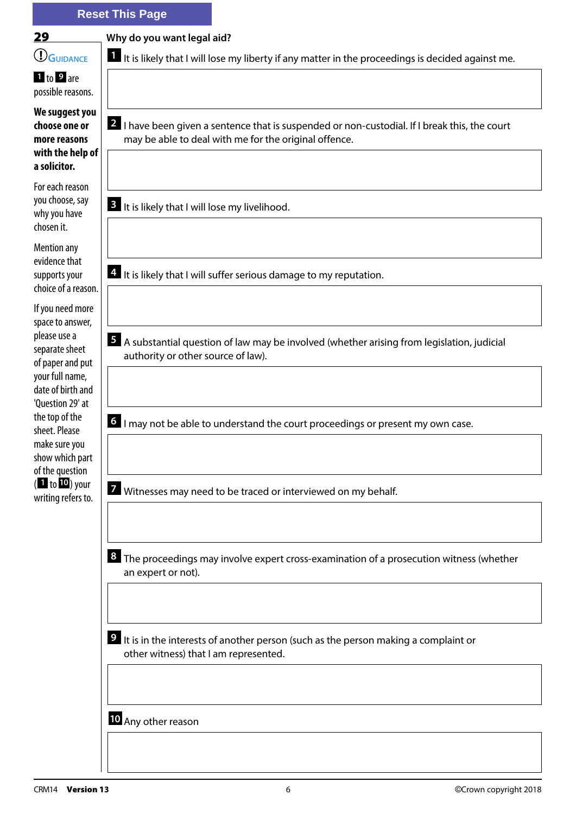#### **Reset This Page**

### 29 **Why do you want legal aid?**

**1** It is likely that I will lose my liberty if any matter in the proceedings is decided against me.

**1** to **9** are possible reasons.

**[Guidance](www.justice.gov.uk/forms/legal-aid-agency/criminal-forms/applications)**

**We suggest you choose one or more reasons with the help of a solicitor.**

For each reason you choose, say why you have chosen it.

Mention any evidence that supports your choice of a reason.

If you need more space to answer, please use a separate sheet of paper and put your full name, date of birth and 'Question 29' at the top of the sheet. Please make sure you show which part of the question ( **1** to **10** ) your writing refers to.

**2** I have been given a sentence that is suspended or non-custodial. If I break this, the court may be able to deal with me for the original offence.

**3** It is likely that I will lose my livelihood.

**4** It is likely that I will suffer serious damage to my reputation.

**5** A substantial question of law may be involved (whether arising from legislation, judicial authority or other source of law).

**6** I may not be able to understand the court proceedings or present my own case.

**7** Witnesses may need to be traced or interviewed on my behalf.

**8** The proceedings may involve expert cross-examination of a prosecution witness (whether an expert or not).

**9** It is in the interests of another person (such as the person making a complaint or other witness) that I am represented.

**10** Any other reason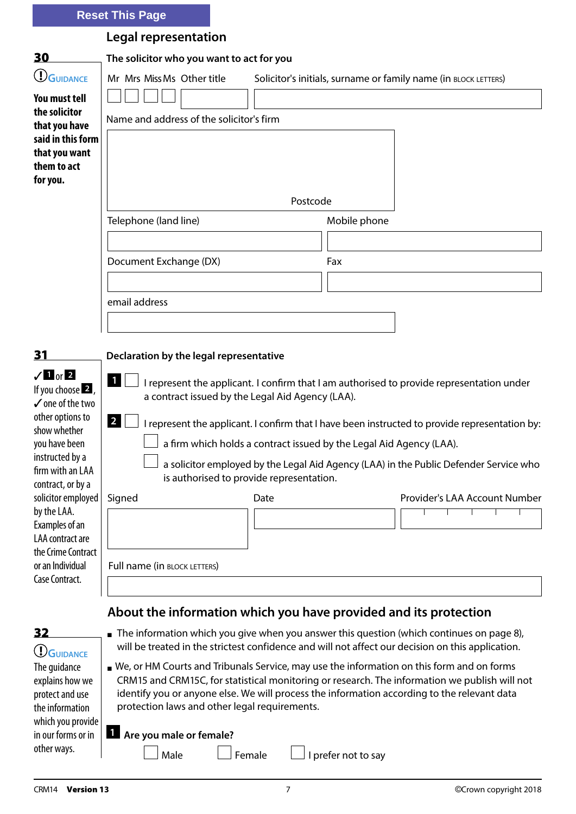| <b>Reset This Page</b> |  |
|------------------------|--|
|                        |  |

## **Legal representation**

|                                          | <u> Landi Lahiasa III di k</u>                                                                                                                                                                 |                                                                     |                     |                                                                                           |  |
|------------------------------------------|------------------------------------------------------------------------------------------------------------------------------------------------------------------------------------------------|---------------------------------------------------------------------|---------------------|-------------------------------------------------------------------------------------------|--|
| 30                                       | The solicitor who you want to act for you                                                                                                                                                      |                                                                     |                     |                                                                                           |  |
| <b>OGUIDANCE</b>                         | Mr Mrs Miss Ms Other title                                                                                                                                                                     |                                                                     |                     | Solicitor's initials, surname or family name (in BLOCK LETTERS)                           |  |
| You must tell                            |                                                                                                                                                                                                |                                                                     |                     |                                                                                           |  |
| the solicitor                            | Name and address of the solicitor's firm                                                                                                                                                       |                                                                     |                     |                                                                                           |  |
| that you have<br>said in this form       |                                                                                                                                                                                                |                                                                     |                     |                                                                                           |  |
| that you want                            |                                                                                                                                                                                                |                                                                     |                     |                                                                                           |  |
| them to act<br>for you.                  |                                                                                                                                                                                                |                                                                     |                     |                                                                                           |  |
|                                          |                                                                                                                                                                                                | Postcode                                                            |                     |                                                                                           |  |
|                                          | Telephone (land line)                                                                                                                                                                          |                                                                     | Mobile phone        |                                                                                           |  |
|                                          |                                                                                                                                                                                                |                                                                     |                     |                                                                                           |  |
|                                          | Document Exchange (DX)                                                                                                                                                                         |                                                                     | Fax                 |                                                                                           |  |
|                                          |                                                                                                                                                                                                |                                                                     |                     |                                                                                           |  |
|                                          | email address                                                                                                                                                                                  |                                                                     |                     |                                                                                           |  |
|                                          |                                                                                                                                                                                                |                                                                     |                     |                                                                                           |  |
|                                          |                                                                                                                                                                                                |                                                                     |                     |                                                                                           |  |
| 31                                       | Declaration by the legal representative                                                                                                                                                        |                                                                     |                     |                                                                                           |  |
| $\sqrt{1}$ or $2$<br>If you choose $2$ , | $\blacksquare$                                                                                                                                                                                 |                                                                     |                     | I represent the applicant. I confirm that I am authorised to provide representation under |  |
| $\checkmark$ one of the two              |                                                                                                                                                                                                | a contract issued by the Legal Aid Agency (LAA).                    |                     |                                                                                           |  |
| other options to<br>show whether         | $\overline{2}$<br>I represent the applicant. I confirm that I have been instructed to provide representation by:                                                                               |                                                                     |                     |                                                                                           |  |
| you have been                            |                                                                                                                                                                                                | a firm which holds a contract issued by the Legal Aid Agency (LAA). |                     |                                                                                           |  |
| instructed by a<br>firm with an LAA      |                                                                                                                                                                                                |                                                                     |                     | a solicitor employed by the Legal Aid Agency (LAA) in the Public Defender Service who     |  |
| contract, or by a                        |                                                                                                                                                                                                | is authorised to provide representation.                            |                     |                                                                                           |  |
| solicitor employed                       | Signed                                                                                                                                                                                         | Date                                                                |                     | Provider's LAA Account Number                                                             |  |
| by the LAA.<br>Examples of an            |                                                                                                                                                                                                |                                                                     |                     |                                                                                           |  |
| <b>LAA</b> contract are                  |                                                                                                                                                                                                |                                                                     |                     |                                                                                           |  |
| the Crime Contract<br>or an Individual   | Full name (in BLOCK LETTERS)                                                                                                                                                                   |                                                                     |                     |                                                                                           |  |
| Case Contract.                           |                                                                                                                                                                                                |                                                                     |                     |                                                                                           |  |
|                                          |                                                                                                                                                                                                | About the information which you have provided and its protection    |                     |                                                                                           |  |
|                                          |                                                                                                                                                                                                |                                                                     |                     |                                                                                           |  |
| 32<br><b>UGUIDANCE</b>                   | The information which you give when you answer this question (which continues on page 8),<br>will be treated in the strictest confidence and will not affect our decision on this application. |                                                                     |                     |                                                                                           |  |
| The guidance                             | ■ We, or HM Courts and Tribunals Service, may use the information on this form and on forms                                                                                                    |                                                                     |                     |                                                                                           |  |
| explains how we                          | CRM15 and CRM15C, for statistical monitoring or research. The information we publish will not                                                                                                  |                                                                     |                     |                                                                                           |  |
| protect and use<br>the information       | identify you or anyone else. We will process the information according to the relevant data<br>protection laws and other legal requirements.                                                   |                                                                     |                     |                                                                                           |  |
| which you provide                        |                                                                                                                                                                                                |                                                                     |                     |                                                                                           |  |
| in our forms or in<br>other ways.        | Are you male or female?                                                                                                                                                                        |                                                                     |                     |                                                                                           |  |
|                                          | Male                                                                                                                                                                                           | Female                                                              | I prefer not to say |                                                                                           |  |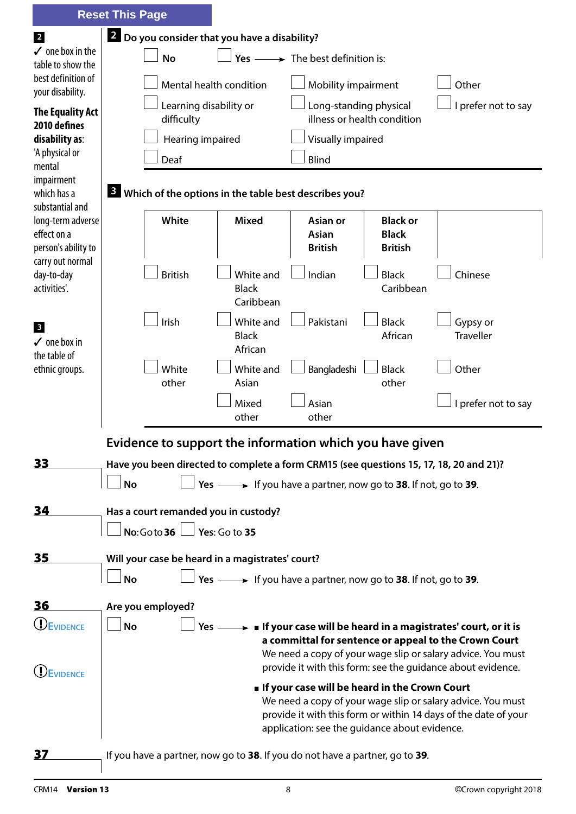|                                                  | <b>Reset This Page</b>                                                                                                         |  |  |  |  |  |
|--------------------------------------------------|--------------------------------------------------------------------------------------------------------------------------------|--|--|--|--|--|
| $\overline{2}$                                   | 2 Do you consider that you have a disability?                                                                                  |  |  |  |  |  |
| $\checkmark$ one box in the<br>table to show the | $\rightarrow$ The best definition is:<br>Yes $-$<br><b>No</b>                                                                  |  |  |  |  |  |
| best definition of<br>your disability.           | Mental health condition<br>Other<br>Mobility impairment                                                                        |  |  |  |  |  |
| <b>The Equality Act</b>                          | Learning disability or<br>I prefer not to say<br>Long-standing physical<br>illness or health condition<br>difficulty           |  |  |  |  |  |
| 2010 defines<br>disability as:                   | Hearing impaired<br>Visually impaired                                                                                          |  |  |  |  |  |
| 'A physical or<br>mental                         | <b>Blind</b><br>Deaf                                                                                                           |  |  |  |  |  |
| impairment<br>which has a<br>substantial and     | <sup>8</sup> Which of the options in the table best describes you?                                                             |  |  |  |  |  |
| long-term adverse                                | White<br><b>Mixed</b><br><b>Black or</b><br>Asian or                                                                           |  |  |  |  |  |
| effect on a<br>person's ability to               | <b>Asian</b><br><b>Black</b><br><b>British</b><br><b>British</b>                                                               |  |  |  |  |  |
| carry out normal                                 |                                                                                                                                |  |  |  |  |  |
| day-to-day<br>activities'.                       | <b>British</b><br>White and<br>Indian<br><b>Black</b><br>Chinese<br>Caribbean<br><b>Black</b>                                  |  |  |  |  |  |
|                                                  | Caribbean                                                                                                                      |  |  |  |  |  |
| $\overline{\mathbf{3}}$                          | Irish<br>Pakistani<br><b>Black</b><br>White and<br>Gypsy or<br>African<br><b>Traveller</b><br><b>Black</b>                     |  |  |  |  |  |
| $\checkmark$ one box in<br>the table of          | African                                                                                                                        |  |  |  |  |  |
| ethnic groups.                                   | White<br>Other<br><b>Black</b><br>White and<br>Bangladeshi                                                                     |  |  |  |  |  |
|                                                  | other<br>Asian<br>other<br>Asian<br>Mixed<br>I prefer not to say                                                               |  |  |  |  |  |
|                                                  | other<br>other                                                                                                                 |  |  |  |  |  |
|                                                  | Evidence to support the information which you have given                                                                       |  |  |  |  |  |
| 33                                               | Have you been directed to complete a form CRM15 (see questions 15, 17, 18, 20 and 21)?                                         |  |  |  |  |  |
|                                                  | Yes - If you have a partner, now go to 38. If not, go to 39.<br><b>No</b>                                                      |  |  |  |  |  |
| 34                                               | Has a court remanded you in custody?                                                                                           |  |  |  |  |  |
|                                                  | No: Go to 36 $\Box$ Yes: Go to 35                                                                                              |  |  |  |  |  |
| 35                                               | Will your case be heard in a magistrates' court?                                                                               |  |  |  |  |  |
|                                                  | Yes $\longrightarrow$ If you have a partner, now go to 38. If not, go to 39.<br><b>No</b>                                      |  |  |  |  |  |
| 36                                               |                                                                                                                                |  |  |  |  |  |
| (!) <sub>EVIDENCE</sub>                          | Are you employed?<br><b>No</b><br>Yes - If your case will be heard in a magistrates' court, or it is                           |  |  |  |  |  |
|                                                  | a committal for sentence or appeal to the Crown Court                                                                          |  |  |  |  |  |
| (!) <sub>EVIDENCE</sub>                          | We need a copy of your wage slip or salary advice. You must<br>provide it with this form: see the guidance about evidence.     |  |  |  |  |  |
|                                                  | If your case will be heard in the Crown Court                                                                                  |  |  |  |  |  |
|                                                  | We need a copy of your wage slip or salary advice. You must<br>provide it with this form or within 14 days of the date of your |  |  |  |  |  |
|                                                  | application: see the guidance about evidence.                                                                                  |  |  |  |  |  |
| <u>37</u>                                        | If you have a partner, now go to 38. If you do not have a partner, go to 39.                                                   |  |  |  |  |  |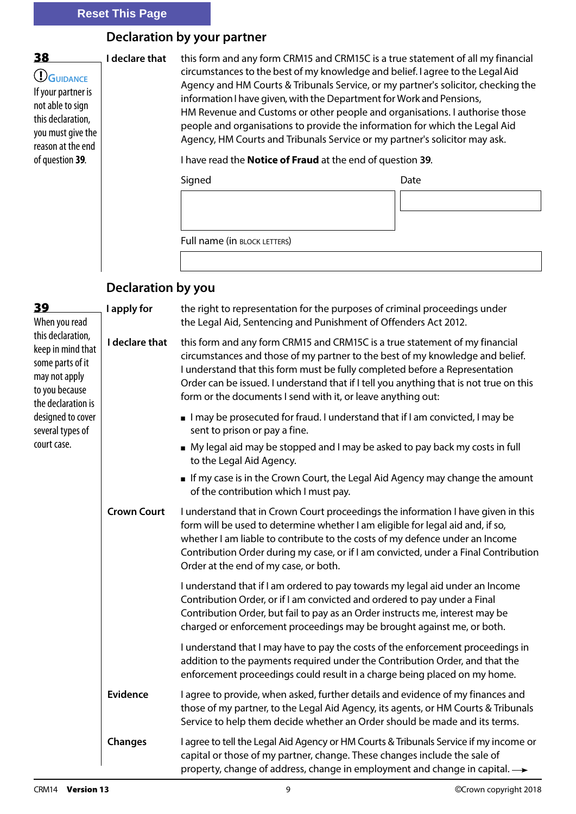### **Declaration by your partner**

**C**GUIDANCE If your partner is not able to sign this declaration, you must give the reason at the end of question **39**.

**38** I declare that this form and any form CRM15 and CRM15C is a true statement of all my financial circumstances to the best of my knowledge and belief. I agree to the Legal Aid Agency and HM Courts & Tribunals Service, or my partner's solicitor, checking the information I have given, with the Department for Work and Pensions, HM Revenue and Customs or other people and organisations. I authorise those people and organisations to provide the information for which the Legal Aid Agency, HM Courts and Tribunals Service or my partner's solicitor may ask.

#### I have read the **Notice of Fraud** at the end of question **39**.

| Signed                       | Date |
|------------------------------|------|
|                              |      |
|                              |      |
| Full name (in BLOCK LETTERS) |      |

# **Declaration by you**

| 39                                                                                                                                   | I apply for        | the right to representation for the purposes of criminal proceedings under                                                                                                                                                                                                                                                                                                                            |
|--------------------------------------------------------------------------------------------------------------------------------------|--------------------|-------------------------------------------------------------------------------------------------------------------------------------------------------------------------------------------------------------------------------------------------------------------------------------------------------------------------------------------------------------------------------------------------------|
| When you read<br>this declaration,<br>keep in mind that<br>some parts of it<br>may not apply<br>to you because<br>the declaration is |                    | the Legal Aid, Sentencing and Punishment of Offenders Act 2012.                                                                                                                                                                                                                                                                                                                                       |
|                                                                                                                                      | I declare that     | this form and any form CRM15 and CRM15C is a true statement of my financial<br>circumstances and those of my partner to the best of my knowledge and belief.<br>I understand that this form must be fully completed before a Representation<br>Order can be issued. I understand that if I tell you anything that is not true on this<br>form or the documents I send with it, or leave anything out: |
| designed to cover<br>several types of                                                                                                |                    | I may be prosecuted for fraud. I understand that if I am convicted, I may be<br>sent to prison or pay a fine.                                                                                                                                                                                                                                                                                         |
| court case.                                                                                                                          |                    | ■ My legal aid may be stopped and I may be asked to pay back my costs in full<br>to the Legal Aid Agency.                                                                                                                                                                                                                                                                                             |
|                                                                                                                                      |                    | If my case is in the Crown Court, the Legal Aid Agency may change the amount<br>of the contribution which I must pay.                                                                                                                                                                                                                                                                                 |
|                                                                                                                                      | <b>Crown Court</b> | I understand that in Crown Court proceedings the information I have given in this<br>form will be used to determine whether I am eligible for legal aid and, if so,<br>whether I am liable to contribute to the costs of my defence under an Income<br>Contribution Order during my case, or if I am convicted, under a Final Contribution<br>Order at the end of my case, or both.                   |
|                                                                                                                                      |                    | I understand that if I am ordered to pay towards my legal aid under an Income<br>Contribution Order, or if I am convicted and ordered to pay under a Final<br>Contribution Order, but fail to pay as an Order instructs me, interest may be<br>charged or enforcement proceedings may be brought against me, or both.                                                                                 |
|                                                                                                                                      |                    | I understand that I may have to pay the costs of the enforcement proceedings in<br>addition to the payments required under the Contribution Order, and that the<br>enforcement proceedings could result in a charge being placed on my home.                                                                                                                                                          |
|                                                                                                                                      | Evidence           | I agree to provide, when asked, further details and evidence of my finances and<br>those of my partner, to the Legal Aid Agency, its agents, or HM Courts & Tribunals<br>Service to help them decide whether an Order should be made and its terms.                                                                                                                                                   |
|                                                                                                                                      | <b>Changes</b>     | I agree to tell the Legal Aid Agency or HM Courts & Tribunals Service if my income or<br>capital or those of my partner, change. These changes include the sale of<br>property, change of address, change in employment and change in capital. $\rightarrow$                                                                                                                                          |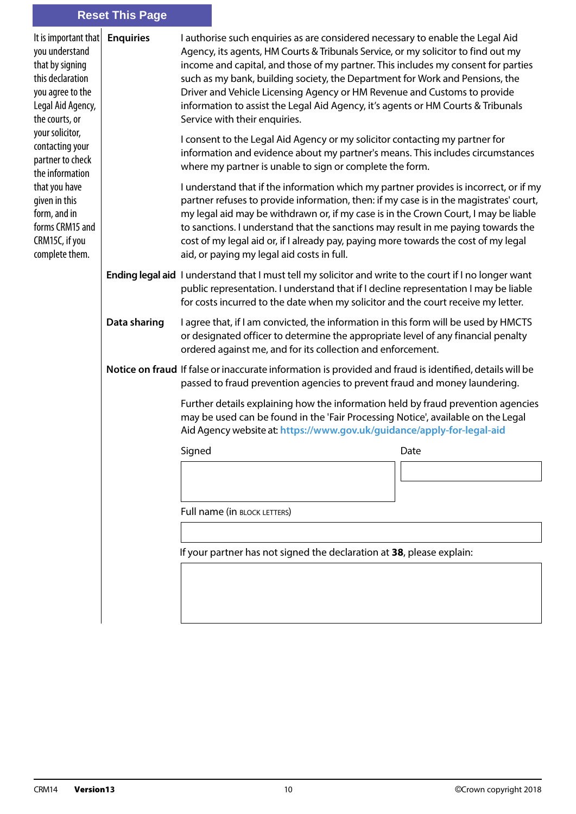# **Reset This Page**

| It is important that<br>you understand<br>that by signing<br>this declaration<br>you agree to the<br>Legal Aid Agency,<br>the courts, or | <b>Enquiries</b> | I authorise such enquiries as are considered necessary to enable the Legal Aid<br>Agency, its agents, HM Courts & Tribunals Service, or my solicitor to find out my<br>income and capital, and those of my partner. This includes my consent for parties<br>such as my bank, building society, the Department for Work and Pensions, the<br>Driver and Vehicle Licensing Agency or HM Revenue and Customs to provide<br>information to assist the Legal Aid Agency, it's agents or HM Courts & Tribunals<br>Service with their enquiries. |      |  |
|------------------------------------------------------------------------------------------------------------------------------------------|------------------|-------------------------------------------------------------------------------------------------------------------------------------------------------------------------------------------------------------------------------------------------------------------------------------------------------------------------------------------------------------------------------------------------------------------------------------------------------------------------------------------------------------------------------------------|------|--|
| your solicitor,<br>contacting your<br>partner to check<br>the information                                                                |                  | I consent to the Legal Aid Agency or my solicitor contacting my partner for<br>information and evidence about my partner's means. This includes circumstances<br>where my partner is unable to sign or complete the form.                                                                                                                                                                                                                                                                                                                 |      |  |
| that you have<br>given in this<br>form, and in<br>forms CRM15 and<br>CRM15C, if you<br>complete them.                                    |                  | I understand that if the information which my partner provides is incorrect, or if my<br>partner refuses to provide information, then: if my case is in the magistrates' court,<br>my legal aid may be withdrawn or, if my case is in the Crown Court, I may be liable<br>to sanctions. I understand that the sanctions may result in me paying towards the<br>cost of my legal aid or, if I already pay, paying more towards the cost of my legal<br>aid, or paying my legal aid costs in full.                                          |      |  |
|                                                                                                                                          |                  | Ending legal aid I understand that I must tell my solicitor and write to the court if I no longer want<br>public representation. I understand that if I decline representation I may be liable<br>for costs incurred to the date when my solicitor and the court receive my letter.                                                                                                                                                                                                                                                       |      |  |
|                                                                                                                                          | Data sharing     | I agree that, if I am convicted, the information in this form will be used by HMCTS<br>or designated officer to determine the appropriate level of any financial penalty<br>ordered against me, and for its collection and enforcement.                                                                                                                                                                                                                                                                                                   |      |  |
|                                                                                                                                          |                  | Notice on fraud If false or inaccurate information is provided and fraud is identified, details will be<br>passed to fraud prevention agencies to prevent fraud and money laundering.                                                                                                                                                                                                                                                                                                                                                     |      |  |
|                                                                                                                                          |                  | Further details explaining how the information held by fraud prevention agencies<br>may be used can be found in the 'Fair Processing Notice', available on the Legal<br>Aid Agency website at: https://www.gov.uk/guidance/apply-for-legal-aid                                                                                                                                                                                                                                                                                            |      |  |
|                                                                                                                                          |                  | Signed                                                                                                                                                                                                                                                                                                                                                                                                                                                                                                                                    | Date |  |
|                                                                                                                                          |                  |                                                                                                                                                                                                                                                                                                                                                                                                                                                                                                                                           |      |  |
|                                                                                                                                          |                  | Full name (in BLOCK LETTERS)                                                                                                                                                                                                                                                                                                                                                                                                                                                                                                              |      |  |
|                                                                                                                                          |                  |                                                                                                                                                                                                                                                                                                                                                                                                                                                                                                                                           |      |  |
|                                                                                                                                          |                  | If your partner has not signed the declaration at 38, please explain:                                                                                                                                                                                                                                                                                                                                                                                                                                                                     |      |  |
|                                                                                                                                          |                  |                                                                                                                                                                                                                                                                                                                                                                                                                                                                                                                                           |      |  |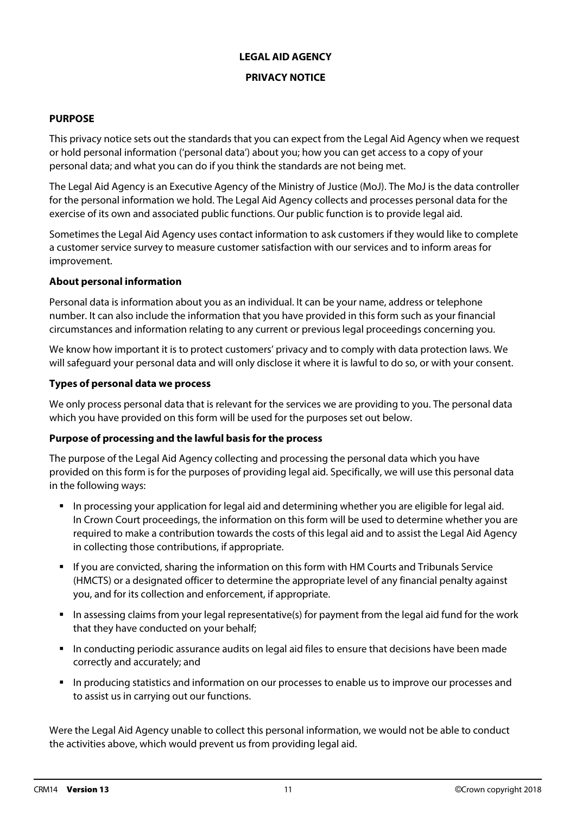# **LEGAL AID AGENCY**

#### **PRIVACY NOTICE**

#### **PURPOSE**

This privacy notice sets out the standards that you can expect from the Legal Aid Agency when we request or hold personal information ('personal data') about you; how you can get access to a copy of your personal data; and what you can do if you think the standards are not being met.

The Legal Aid Agency is an Executive Agency of the Ministry of Justice (MoJ). The MoJ is the data controller for the personal information we hold. The Legal Aid Agency collects and processes personal data for the exercise of its own and associated public functions. Our public function is to provide legal aid.

Sometimes the Legal Aid Agency uses contact information to ask customers if they would like to complete a customer service survey to measure customer satisfaction with our services and to inform areas for improvement.

#### **About personal information**

Personal data is information about you as an individual. It can be your name, address or telephone number. It can also include the information that you have provided in this form such as your financial circumstances and information relating to any current or previous legal proceedings concerning you.

We know how important it is to protect customers' privacy and to comply with data protection laws. We will safeguard your personal data and will only disclose it where it is lawful to do so, or with your consent.

#### **Types of personal data we process**

We only process personal data that is relevant for the services we are providing to you. The personal data which you have provided on this form will be used for the purposes set out below.

### **Purpose of processing and the lawful basis for the process**

The purpose of the Legal Aid Agency collecting and processing the personal data which you have provided on this form is for the purposes of providing legal aid. Specifically, we will use this personal data in the following ways:

- In processing your application for legal aid and determining whether you are eligible for legal aid. In Crown Court proceedings, the information on this form will be used to determine whether you are required to make a contribution towards the costs of this legal aid and to assist the Legal Aid Agency in collecting those contributions, if appropriate.
- If you are convicted, sharing the information on this form with HM Courts and Tribunals Service (HMCTS) or a designated officer to determine the appropriate level of any financial penalty against you, and for its collection and enforcement, if appropriate.
- In assessing claims from your legal representative(s) for payment from the legal aid fund for the work that they have conducted on your behalf;
- **In conducting periodic assurance audits on legal aid files to ensure that decisions have been made** correctly and accurately; and
- In producing statistics and information on our processes to enable us to improve our processes and to assist us in carrying out our functions.

Were the Legal Aid Agency unable to collect this personal information, we would not be able to conduct the activities above, which would prevent us from providing legal aid.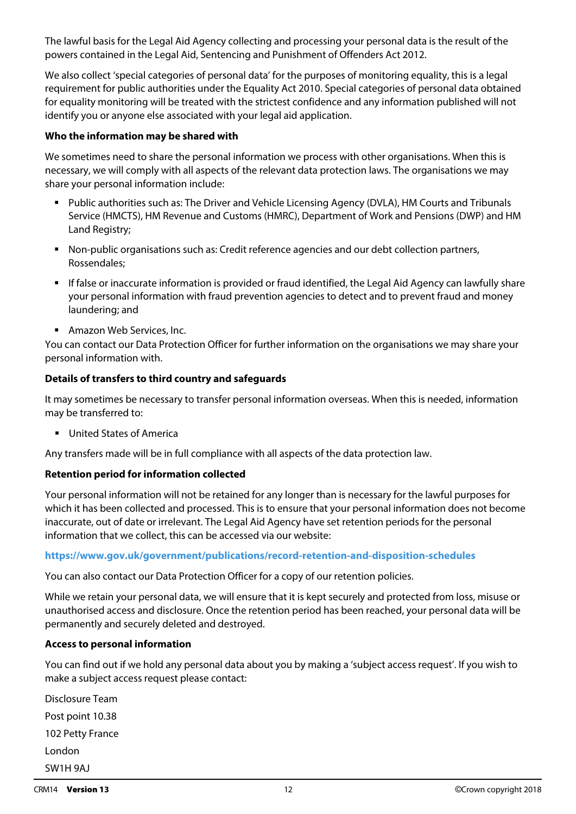The lawful basis for the Legal Aid Agency collecting and processing your personal data is the result of the powers contained in the Legal Aid, Sentencing and Punishment of Offenders Act 2012.

We also collect 'special categories of personal data' for the purposes of monitoring equality, this is a legal requirement for public authorities under the Equality Act 2010. Special categories of personal data obtained for equality monitoring will be treated with the strictest confidence and any information published will not identify you or anyone else associated with your legal aid application.

#### **Who the information may be shared with**

We sometimes need to share the personal information we process with other organisations. When this is necessary, we will comply with all aspects of the relevant data protection laws. The organisations we may share your personal information include:

- **Public authorities such as: The Driver and Vehicle Licensing Agency (DVLA), HM Courts and Tribunals** Service (HMCTS), HM Revenue and Customs (HMRC), Department of Work and Pensions (DWP) and HM Land Registry;
- Non-public organisations such as: Credit reference agencies and our debt collection partners, Rossendales;
- If false or inaccurate information is provided or fraud identified, the Legal Aid Agency can lawfully share your personal information with fraud prevention agencies to detect and to prevent fraud and money laundering; and
- Amazon Web Services, Inc.

You can contact our Data Protection Officer for further information on the organisations we may share your personal information with.

#### **Details of transfers to third country and safeguards**

It may sometimes be necessary to transfer personal information overseas. When this is needed, information may be transferred to:

**United States of America** 

Any transfers made will be in full compliance with all aspects of the data protection law.

#### **Retention period for information collected**

Your personal information will not be retained for any longer than is necessary for the lawful purposes for which it has been collected and processed. This is to ensure that your personal information does not become inaccurate, out of date or irrelevant. The Legal Aid Agency have set retention periods for the personal information that we collect, this can be accessed via our website:

#### **<https://www.gov.uk/government/publications/record-retention-and-disposition-schedules>**

You can also contact our Data Protection Officer for a copy of our retention policies.

While we retain your personal data, we will ensure that it is kept securely and protected from loss, misuse or unauthorised access and disclosure. Once the retention period has been reached, your personal data will be permanently and securely deleted and destroyed.

#### **Access to personal information**

You can find out if we hold any personal data about you by making a 'subject access request'. If you wish to make a subject access request please contact:

Disclosure Team Post point 10.38 102 Petty France London SW1H 9AJ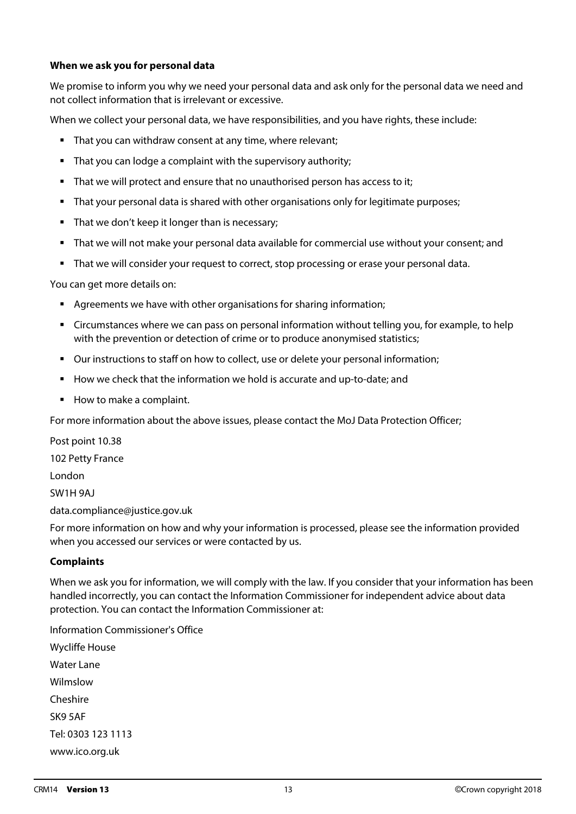#### **When we ask you for personal data**

We promise to inform you why we need your personal data and ask only for the personal data we need and not collect information that is irrelevant or excessive.

When we collect your personal data, we have responsibilities, and you have rights, these include:

- That you can withdraw consent at any time, where relevant;
- That you can lodge a complaint with the supervisory authority;
- That we will protect and ensure that no unauthorised person has access to it;
- **That your personal data is shared with other organisations only for legitimate purposes;**
- That we don't keep it longer than is necessary;
- That we will not make your personal data available for commercial use without your consent; and
- **That we will consider your request to correct, stop processing or erase your personal data.**

You can get more details on:

- Agreements we have with other organisations for sharing information;
- Circumstances where we can pass on personal information without telling you, for example, to help with the prevention or detection of crime or to produce anonymised statistics;
- Our instructions to staff on how to collect, use or delete your personal information;
- How we check that the information we hold is accurate and up-to-date; and
- How to make a complaint.

For more information about the above issues, please contact the MoJ Data Protection Officer;

Post point 10.38

102 Petty France

London

SW1H 9AJ

data.compliance@justice.gov.uk

For more information on how and why your information is processed, please see the information provided when you accessed our services or were contacted by us.

#### **Complaints**

When we ask you for information, we will comply with the law. If you consider that your information has been handled incorrectly, you can contact the Information Commissioner for independent advice about data protection. You can contact the Information Commissioner at:

Information Commissioner's Office Wycliffe House Water Lane Wilmslow Cheshire SK9 5AF Tel: 0303 123 1113 www.ico.org.uk